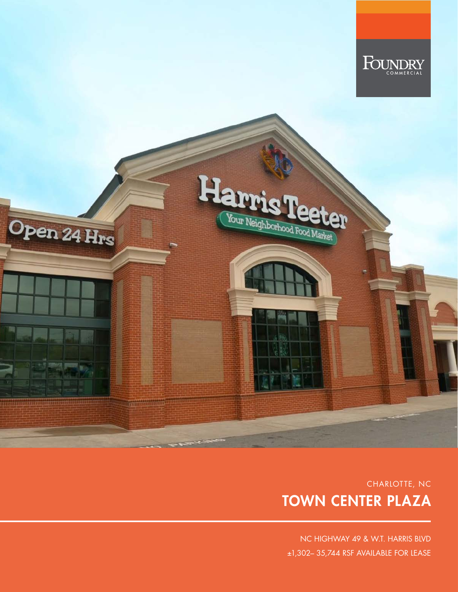

# CHARLOTTE, NC TOWN CENTER PLAZA

NC HIGHWAY 49 & W.T. HARRIS BLVD ±1,302– 35,744 RSF AVAILABLE FOR LEASE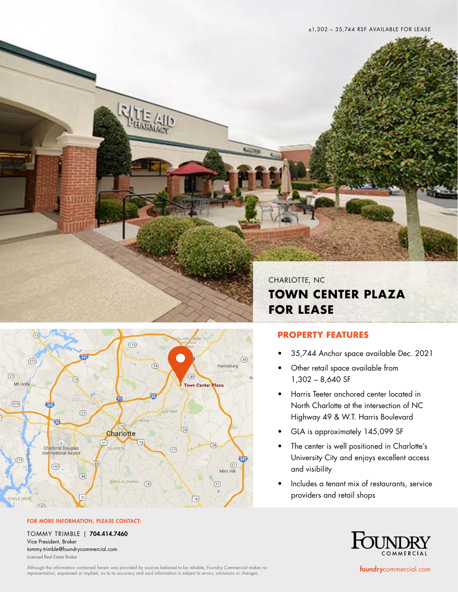

**TOWN CENTER PLAZA** 



#### FOR MORE INFORMATION, PLEASE CONTACT:

TOMMY TRIMBLE | 704.414.7460 Vice President, Broker tommy.trimble@foundrycommercial.com Licensed Real Estate Broker

Although the information contained herein was provided by sources believed to be reliable, Foundry Commercial makes no<br>representation, expressed or implied, as to its accuracy and said information is subject to errors, omi

CHARLOTTE, NC **TOWN CENTER PLAZA FOR LEASE**

## **PROPERTY FEATURES**

**Gallery** 

- 35,744 Anchor space available Dec. 2021
- Other retail space available from 1,302 – 8,640 SF
- Harris Teeter anchored center located in North Charlotte at the intersection of NC Highway 49 & W.T. Harris Boulevard
- GLA is approximately 145,099 SF
- The center is well positioned in Charlotte's University City and enjoys excellent access and visibility
- Includes a tenant mix of restaurants, service providers and retail shops



foundrycommercial.com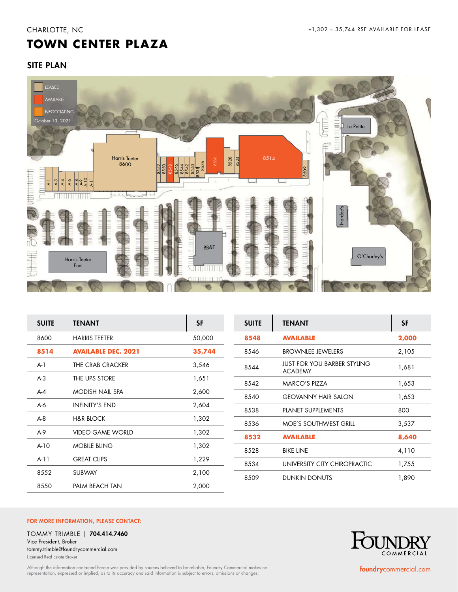# **TOWN CENTER PLAZA**

# SITE PLAN



| <b>SUITE</b> | <b>TENANT</b>              | <b>SF</b> | <b>SUITE</b> | <b>TENANT</b>                                        | <b>SF</b> |
|--------------|----------------------------|-----------|--------------|------------------------------------------------------|-----------|
| 8600         | <b>HARRIS TEETER</b>       | 50,000    | 8548         | <b>AVAILABLE</b>                                     | 2,000     |
| 8514         | <b>AVAILABLE DEC. 2021</b> | 35,744    | 8546         | <b>BROWNLEE JEWELERS</b>                             | 2,105     |
| $A-1$        | THE CRAB CRACKER           | 3,546     | 8544         | <b>JUST FOR YOU BARBER STYLING</b><br><b>ACADEMY</b> | 1,681     |
| $A-3$        | THE UPS STORE              | 1,651     | 8542         | <b>MARCO'S PIZZA</b>                                 | 1,653     |
| $A-4$        | <b>MODISH NAIL SPA</b>     | 2,600     | 8540         | <b>GEOVANNY HAIR SALON</b>                           | 1,653     |
| $A-6$        | <b>INFINITY'S END</b>      | 2,604     | 8538         | PLANET SUPPLEMENTS                                   | 800       |
| $A-8$        | <b>H&amp;R BLOCK</b>       | 1,302     | 8536         | <b>MOE'S SOUTHWEST GRILL</b>                         | 3,537     |
| $A-9$        | <b>VIDEO GAME WORLD</b>    | 1,302     | 8532         | <b>AVAILABLE</b>                                     | 8,640     |
| $A-10$       | <b>MOBILE BLING</b>        | 1,302     | 8528         |                                                      |           |
| $A-11$       | <b>GREAT CLIPS</b>         | 1,229     |              | <b>BIKE LINE</b>                                     | 4,110     |
|              |                            |           | 8534         | UNIVERSITY CITY CHIROPRACTIC                         | 1,755     |
| 8552         | <b>SUBWAY</b>              | 2,100     | 8509         | <b>DUNKIN DONUTS</b>                                 | 1,890     |
| 8550         | PALM BEACH TAN             | 2,000     |              |                                                      |           |

### FOR MORE INFORMATION, PLEASE CONTACT:

TOMMY TRIMBLE | 704.414.7460 Vice President, Broker tommy.trimble@foundrycommercial.com Licensed Real Estate Broker

Although the information contained herein was provided by sources believed to be reliable, Foundry Commercial makes no<br>representation, expressed or implied, as to its accuracy and said information is subject to errors, omi



foundrycommercial.com